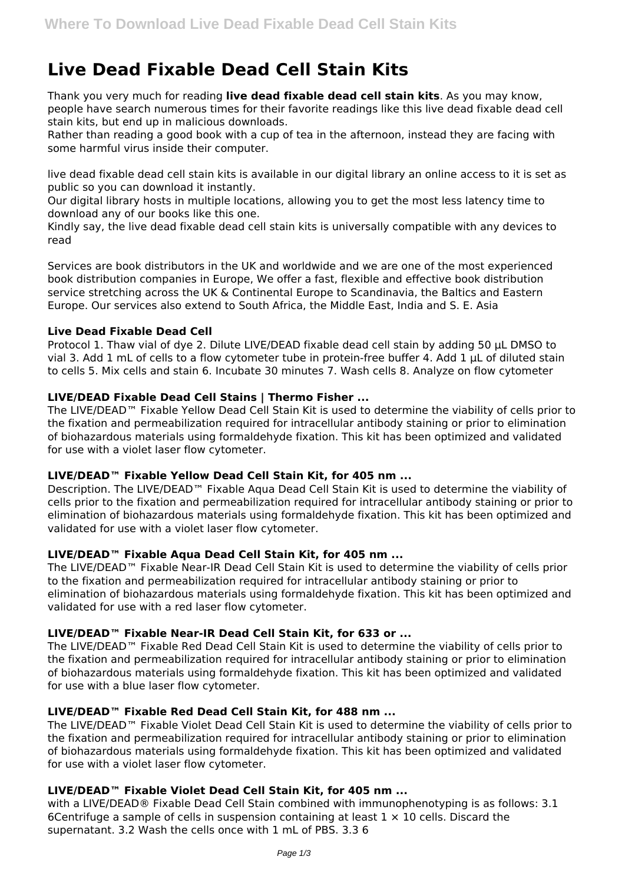# **Live Dead Fixable Dead Cell Stain Kits**

Thank you very much for reading **live dead fixable dead cell stain kits**. As you may know, people have search numerous times for their favorite readings like this live dead fixable dead cell stain kits, but end up in malicious downloads.

Rather than reading a good book with a cup of tea in the afternoon, instead they are facing with some harmful virus inside their computer.

live dead fixable dead cell stain kits is available in our digital library an online access to it is set as public so you can download it instantly.

Our digital library hosts in multiple locations, allowing you to get the most less latency time to download any of our books like this one.

Kindly say, the live dead fixable dead cell stain kits is universally compatible with any devices to read

Services are book distributors in the UK and worldwide and we are one of the most experienced book distribution companies in Europe, We offer a fast, flexible and effective book distribution service stretching across the UK & Continental Europe to Scandinavia, the Baltics and Eastern Europe. Our services also extend to South Africa, the Middle East, India and S. E. Asia

# **Live Dead Fixable Dead Cell**

Protocol 1. Thaw vial of dye 2. Dilute LIVE/DEAD fixable dead cell stain by adding 50 µL DMSO to vial 3. Add 1 mL of cells to a flow cytometer tube in protein-free buffer 4. Add 1 µL of diluted stain to cells 5. Mix cells and stain 6. Incubate 30 minutes 7. Wash cells 8. Analyze on flow cytometer

# **LIVE/DEAD Fixable Dead Cell Stains | Thermo Fisher ...**

The LIVE/DEAD™ Fixable Yellow Dead Cell Stain Kit is used to determine the viability of cells prior to the fixation and permeabilization required for intracellular antibody staining or prior to elimination of biohazardous materials using formaldehyde fixation. This kit has been optimized and validated for use with a violet laser flow cytometer.

# **LIVE/DEAD™ Fixable Yellow Dead Cell Stain Kit, for 405 nm ...**

Description. The LIVE/DEAD™ Fixable Aqua Dead Cell Stain Kit is used to determine the viability of cells prior to the fixation and permeabilization required for intracellular antibody staining or prior to elimination of biohazardous materials using formaldehyde fixation. This kit has been optimized and validated for use with a violet laser flow cytometer.

# **LIVE/DEAD™ Fixable Aqua Dead Cell Stain Kit, for 405 nm ...**

The LIVE/DEAD™ Fixable Near-IR Dead Cell Stain Kit is used to determine the viability of cells prior to the fixation and permeabilization required for intracellular antibody staining or prior to elimination of biohazardous materials using formaldehyde fixation. This kit has been optimized and validated for use with a red laser flow cytometer.

## **LIVE/DEAD™ Fixable Near-IR Dead Cell Stain Kit, for 633 or ...**

The LIVE/DEAD™ Fixable Red Dead Cell Stain Kit is used to determine the viability of cells prior to the fixation and permeabilization required for intracellular antibody staining or prior to elimination of biohazardous materials using formaldehyde fixation. This kit has been optimized and validated for use with a blue laser flow cytometer.

## **LIVE/DEAD™ Fixable Red Dead Cell Stain Kit, for 488 nm ...**

The LIVE/DEAD™ Fixable Violet Dead Cell Stain Kit is used to determine the viability of cells prior to the fixation and permeabilization required for intracellular antibody staining or prior to elimination of biohazardous materials using formaldehyde fixation. This kit has been optimized and validated for use with a violet laser flow cytometer.

# **LIVE/DEAD™ Fixable Violet Dead Cell Stain Kit, for 405 nm ...**

with a LIVE/DEAD® Fixable Dead Cell Stain combined with immunophenotyping is as follows: 3.1 6Centrifuge a sample of cells in suspension containing at least  $1 \times 10$  cells. Discard the supernatant. 3.2 Wash the cells once with 1 mL of PBS. 3.3 6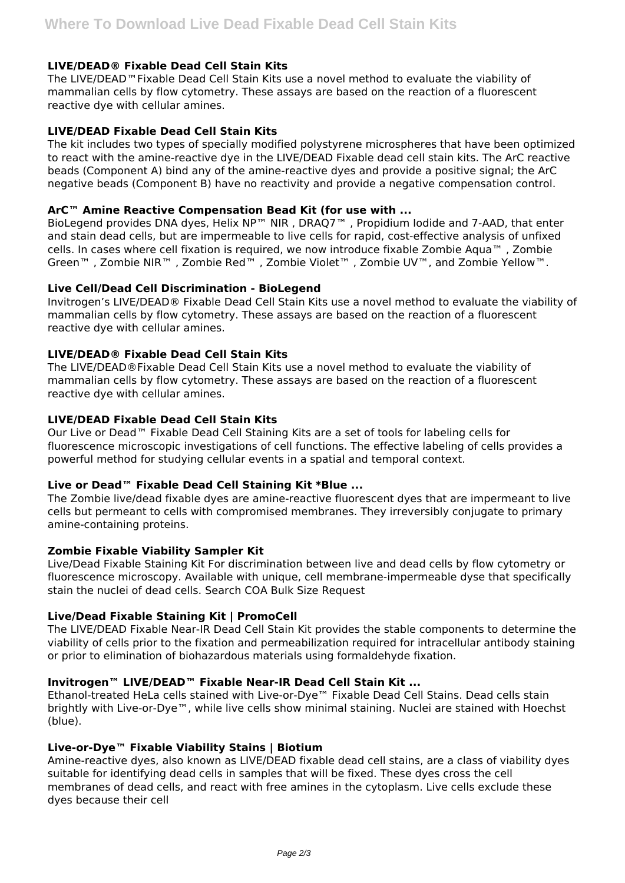# **LIVE/DEAD® Fixable Dead Cell Stain Kits**

The LIVE/DEAD™Fixable Dead Cell Stain Kits use a novel method to evaluate the viability of mammalian cells by flow cytometry. These assays are based on the reaction of a fluorescent reactive dye with cellular amines.

# **LIVE/DEAD Fixable Dead Cell Stain Kits**

The kit includes two types of specially modified polystyrene microspheres that have been optimized to react with the amine-reactive dye in the LIVE/DEAD Fixable dead cell stain kits. The ArC reactive beads (Component A) bind any of the amine-reactive dyes and provide a positive signal; the ArC negative beads (Component B) have no reactivity and provide a negative compensation control.

# **ArC™ Amine Reactive Compensation Bead Kit (for use with ...**

BioLegend provides DNA dyes, Helix NP™ NIR , DRAQ7™ , Propidium Iodide and 7-AAD, that enter and stain dead cells, but are impermeable to live cells for rapid, cost-effective analysis of unfixed cells. In cases where cell fixation is required, we now introduce fixable Zombie Aqua™ , Zombie Green™ , Zombie NIR™ , Zombie Red™ , Zombie Violet™ , Zombie UV™, and Zombie Yellow™.

# **Live Cell/Dead Cell Discrimination - BioLegend**

Invitrogen's LIVE/DEAD® Fixable Dead Cell Stain Kits use a novel method to evaluate the viability of mammalian cells by flow cytometry. These assays are based on the reaction of a fluorescent reactive dye with cellular amines.

# **LIVE/DEAD® Fixable Dead Cell Stain Kits**

The LIVE/DEAD®Fixable Dead Cell Stain Kits use a novel method to evaluate the viability of mammalian cells by flow cytometry. These assays are based on the reaction of a fluorescent reactive dye with cellular amines.

## **LIVE/DEAD Fixable Dead Cell Stain Kits**

Our Live or Dead™ Fixable Dead Cell Staining Kits are a set of tools for labeling cells for fluorescence microscopic investigations of cell functions. The effective labeling of cells provides a powerful method for studying cellular events in a spatial and temporal context.

# **Live or Dead™ Fixable Dead Cell Staining Kit \*Blue ...**

The Zombie live/dead fixable dyes are amine-reactive fluorescent dyes that are impermeant to live cells but permeant to cells with compromised membranes. They irreversibly conjugate to primary amine-containing proteins.

## **Zombie Fixable Viability Sampler Kit**

Live/Dead Fixable Staining Kit For discrimination between live and dead cells by flow cytometry or fluorescence microscopy. Available with unique, cell membrane-impermeable dyse that specifically stain the nuclei of dead cells. Search COA Bulk Size Request

## **Live/Dead Fixable Staining Kit | PromoCell**

The LIVE/DEAD Fixable Near-IR Dead Cell Stain Kit provides the stable components to determine the viability of cells prior to the fixation and permeabilization required for intracellular antibody staining or prior to elimination of biohazardous materials using formaldehyde fixation.

# **Invitrogen™ LIVE/DEAD™ Fixable Near-IR Dead Cell Stain Kit ...**

Ethanol-treated HeLa cells stained with Live-or-Dye™ Fixable Dead Cell Stains. Dead cells stain brightly with Live-or-Dye™, while live cells show minimal staining. Nuclei are stained with Hoechst (blue).

# **Live-or-Dye™ Fixable Viability Stains | Biotium**

Amine-reactive dyes, also known as LIVE/DEAD fixable dead cell stains, are a class of viability dyes suitable for identifying dead cells in samples that will be fixed. These dyes cross the cell membranes of dead cells, and react with free amines in the cytoplasm. Live cells exclude these dyes because their cell